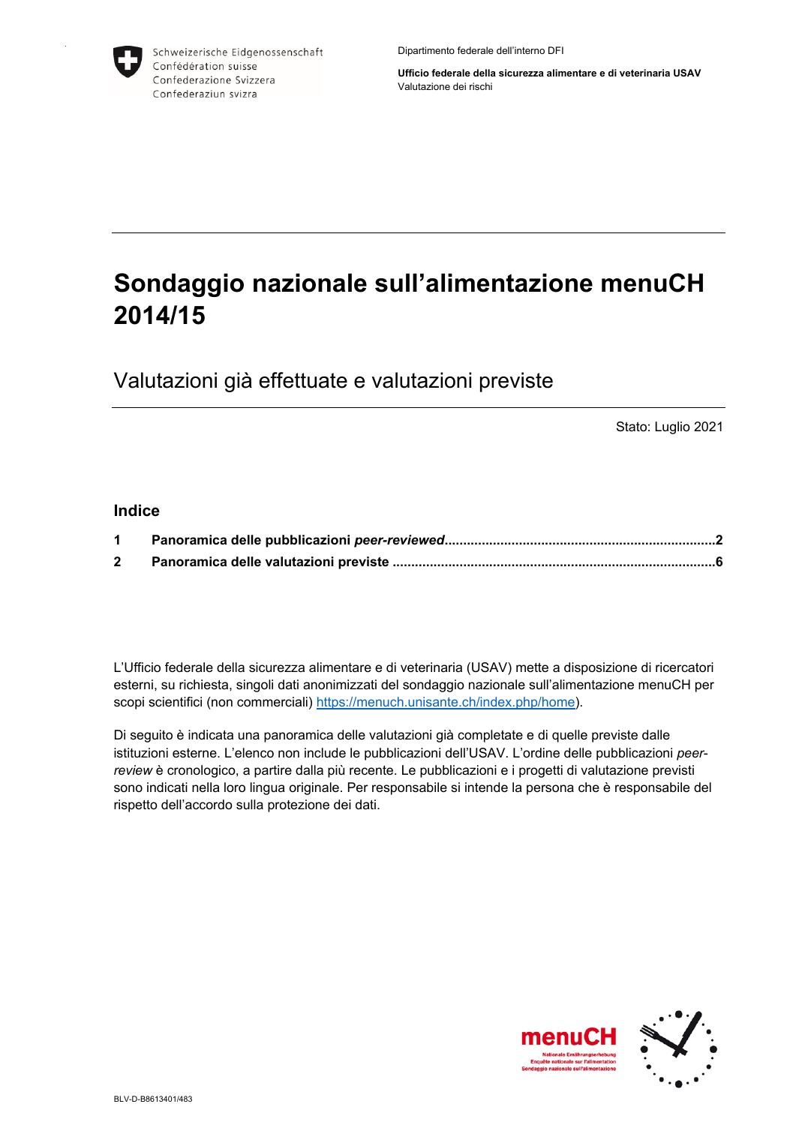

Schweizerische Eidgenossenschaft Confédération suisse Confederazione Svizzera Confederaziun svizra

Dipartimento federale dell'interno DFI

**Ufficio federale della sicurezza alimentare e di veterinaria USAV** Valutazione dei rischi

## **Sondaggio nazionale sull'alimentazione menuCH 2014/15**

Valutazioni già effettuate e valutazioni previste

Stato: Luglio 2021

## **Indice**

L'Ufficio federale della sicurezza alimentare e di veterinaria (USAV) mette a disposizione di ricercatori esterni, su richiesta, singoli dati anonimizzati del sondaggio nazionale sull'alimentazione menuCH per scopi scientifici (non commerciali) <https://menuch.unisante.ch/index.php/home>).

Di seguito è indicata una panoramica delle valutazioni già completate e di quelle previste dalle istituzioni esterne. L'elenco non include le pubblicazioni dell'USAV. L'ordine delle pubblicazioni *peerreview* è cronologico, a partire dalla più recente. Le pubblicazioni e i progetti di valutazione previsti sono indicati nella loro lingua originale. Per responsabile si intende la persona che è responsabile del rispetto dell'accordo sulla protezione dei dati.

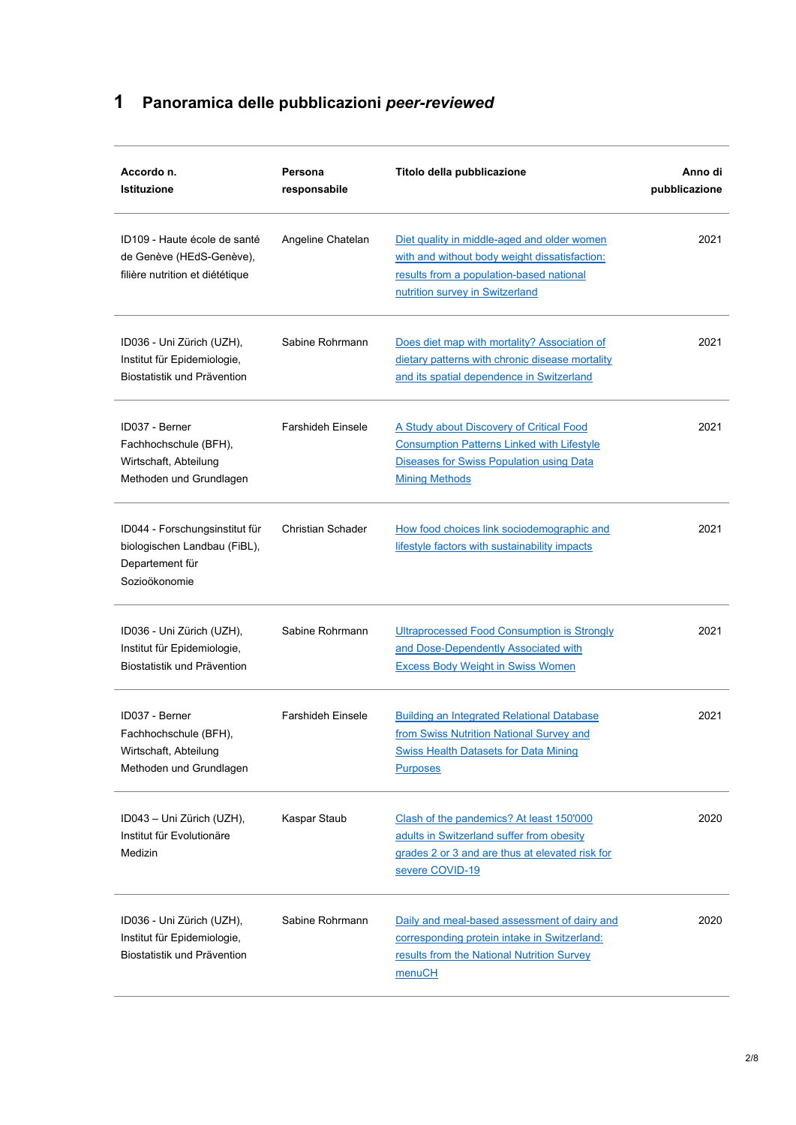## <span id="page-1-0"></span>**1 Panoramica delle pubblicazioni** *peer-reviewed*

| Accordo n.<br><b>Istituzione</b>                                                                   | Persona<br>responsabile  | Titolo della pubblicazione                                                                                                                                                  | Anno di<br>pubblicazione |
|----------------------------------------------------------------------------------------------------|--------------------------|-----------------------------------------------------------------------------------------------------------------------------------------------------------------------------|--------------------------|
| ID109 - Haute école de santé<br>de Genève (HEdS-Genève),<br>filière nutrition et diététique        | Angeline Chatelan        | Diet quality in middle-aged and older women<br>with and without body weight dissatisfaction:<br>results from a population-based national<br>nutrition survey in Switzerland | 2021                     |
| ID036 - Uni Zürich (UZH),<br>Institut für Epidemiologie,<br>Biostatistik und Prävention            | Sabine Rohrmann          | Does diet map with mortality? Association of<br>dietary patterns with chronic disease mortality<br>and its spatial dependence in Switzerland                                | 2021                     |
| ID037 - Berner<br>Fachhochschule (BFH),<br>Wirtschaft, Abteilung<br>Methoden und Grundlagen        | <b>Farshideh Einsele</b> | A Study about Discovery of Critical Food<br><b>Consumption Patterns Linked with Lifestyle</b><br>Diseases for Swiss Population using Data<br><b>Mining Methods</b>          | 2021                     |
| ID044 - Forschungsinstitut für<br>biologischen Landbau (FiBL),<br>Departement für<br>Sozioökonomie | Christian Schader        | How food choices link sociodemographic and<br>lifestyle factors with sustainability impacts                                                                                 | 2021                     |
| ID036 - Uni Zürich (UZH),<br>Institut für Epidemiologie,<br>Biostatistik und Prävention            | Sabine Rohrmann          | <b>Ultraprocessed Food Consumption is Strongly</b><br>and Dose-Dependently Associated with<br><b>Excess Body Weight in Swiss Women</b>                                      | 2021                     |
| ID037 - Berner<br>Fachhochschule (BFH),<br>Wirtschaft, Abteilung<br>Methoden und Grundlagen        | <b>Farshideh Einsele</b> | <b>Building an Integrated Relational Database</b><br>from Swiss Nutrition National Survey and<br><b>Swiss Health Datasets for Data Mining</b><br><b>Purposes</b>            | 2021                     |
| ID043 - Uni Zürich (UZH),<br>Institut für Evolutionäre<br>Medizin                                  | Kaspar Staub             | Clash of the pandemics? At least 150'000<br>adults in Switzerland suffer from obesity<br>grades 2 or 3 and are thus at elevated risk for<br>severe COVID-19                 | 2020                     |
| ID036 - Uni Zürich (UZH),<br>Institut für Epidemiologie,<br>Biostatistik und Prävention            | Sabine Rohrmann          | Daily and meal-based assessment of dairy and<br>corresponding protein intake in Switzerland:<br>results from the National Nutrition Survey<br>menuCH                        | 2020                     |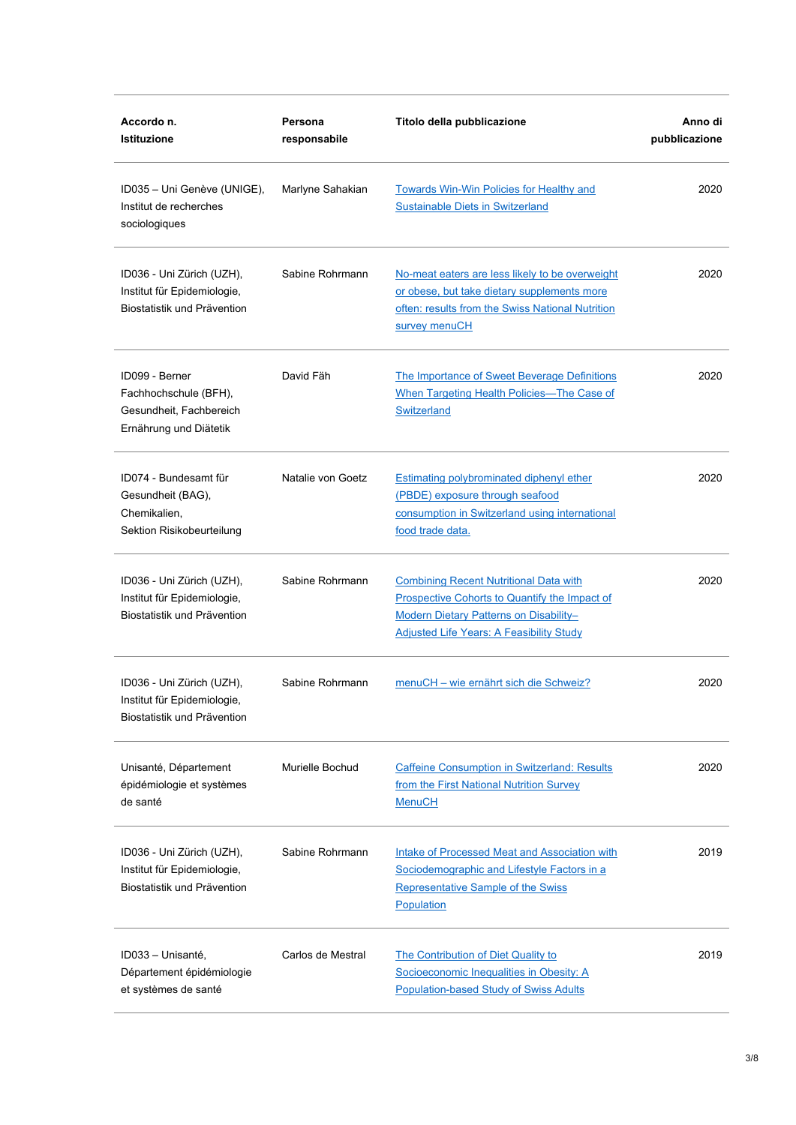| Accordo n.<br><b>Istituzione</b>                                                             | Persona<br>responsabile | Titolo della pubblicazione                                                                                                                                                                  | Anno di<br>pubblicazione |
|----------------------------------------------------------------------------------------------|-------------------------|---------------------------------------------------------------------------------------------------------------------------------------------------------------------------------------------|--------------------------|
| ID035 - Uni Genève (UNIGE),<br>Institut de recherches<br>sociologiques                       | Marlyne Sahakian        | <b>Towards Win-Win Policies for Healthy and</b><br><b>Sustainable Diets in Switzerland</b>                                                                                                  | 2020                     |
| ID036 - Uni Zürich (UZH),<br>Institut für Epidemiologie,<br>Biostatistik und Prävention      | Sabine Rohrmann         | No-meat eaters are less likely to be overweight<br>or obese, but take dietary supplements more<br>often: results from the Swiss National Nutrition<br>survey menuCH                         | 2020                     |
| ID099 - Berner<br>Fachhochschule (BFH),<br>Gesundheit, Fachbereich<br>Ernährung und Diätetik | David Fäh               | The Importance of Sweet Beverage Definitions<br>When Targeting Health Policies-The Case of<br>Switzerland                                                                                   | 2020                     |
| ID074 - Bundesamt für<br>Gesundheit (BAG),<br>Chemikalien,<br>Sektion Risikobeurteilung      | Natalie von Goetz       | Estimating polybrominated diphenyl ether<br>(PBDE) exposure through seafood<br>consumption in Switzerland using international<br>food trade data.                                           | 2020                     |
| ID036 - Uni Zürich (UZH),<br>Institut für Epidemiologie,<br>Biostatistik und Prävention      | Sabine Rohrmann         | <b>Combining Recent Nutritional Data with</b><br>Prospective Cohorts to Quantify the Impact of<br>Modern Dietary Patterns on Disability-<br><b>Adjusted Life Years: A Feasibility Study</b> | 2020                     |
| ID036 - Uni Zürich (UZH),<br>Institut für Epidemiologie.<br>Biostatistik und Prävention      | Sabine Rohrmann         | menuCH - wie ernährt sich die Schweiz?                                                                                                                                                      | 2020                     |
| Unisanté, Département<br>épidémiologie et systèmes<br>de santé                               | Murielle Bochud         | <b>Caffeine Consumption in Switzerland: Results</b><br>from the First National Nutrition Survey<br><b>MenuCH</b>                                                                            | 2020                     |
| ID036 - Uni Zürich (UZH),<br>Institut für Epidemiologie,<br>Biostatistik und Prävention      | Sabine Rohrmann         | Intake of Processed Meat and Association with<br>Sociodemographic and Lifestyle Factors in a<br>Representative Sample of the Swiss<br>Population                                            | 2019                     |
| ID033 - Unisanté,<br>Département épidémiologie<br>et systèmes de santé                       | Carlos de Mestral       | The Contribution of Diet Quality to<br>Socioeconomic Inequalities in Obesity: A<br><b>Population-based Study of Swiss Adults</b>                                                            | 2019                     |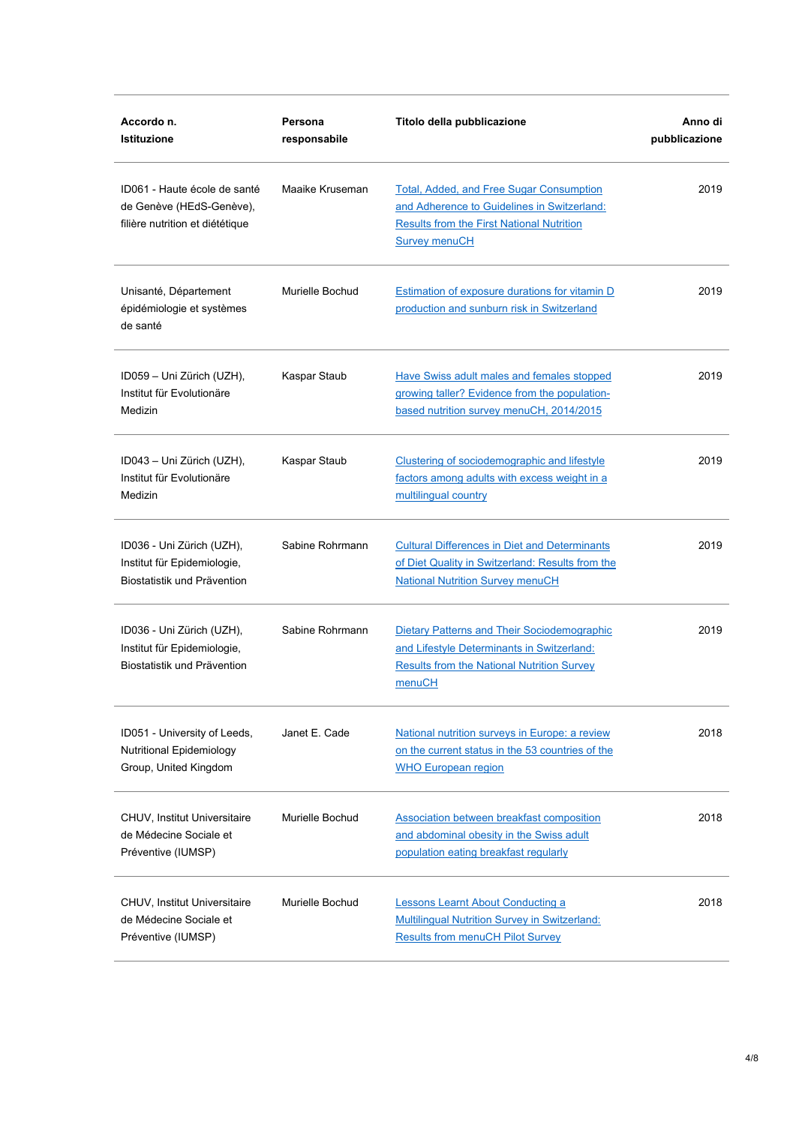| Accordo n.<br><b>Istituzione</b>                                                            | Persona<br>responsabile | Titolo della pubblicazione                                                                                                                                          | Anno di<br>pubblicazione |
|---------------------------------------------------------------------------------------------|-------------------------|---------------------------------------------------------------------------------------------------------------------------------------------------------------------|--------------------------|
| ID061 - Haute école de santé<br>de Genève (HEdS-Genève),<br>filière nutrition et diététique | Maaike Kruseman         | Total, Added, and Free Sugar Consumption<br>and Adherence to Guidelines in Switzerland:<br><b>Results from the First National Nutrition</b><br><b>Survey menuCH</b> | 2019                     |
| Unisanté, Département<br>épidémiologie et systèmes<br>de santé                              | Murielle Bochud         | Estimation of exposure durations for vitamin D<br>production and sunburn risk in Switzerland                                                                        | 2019                     |
| ID059 - Uni Zürich (UZH),<br>Institut für Evolutionäre<br>Medizin                           | Kaspar Staub            | Have Swiss adult males and females stopped<br>growing taller? Evidence from the population-<br>based nutrition survey menuCH, 2014/2015                             | 2019                     |
| ID043 – Uni Zürich (UZH),<br>Institut für Evolutionäre<br>Medizin                           | Kaspar Staub            | Clustering of sociodemographic and lifestyle<br>factors among adults with excess weight in a<br>multilingual country                                                | 2019                     |
| ID036 - Uni Zürich (UZH),<br>Institut für Epidemiologie,<br>Biostatistik und Prävention     | Sabine Rohrmann         | <b>Cultural Differences in Diet and Determinants</b><br>of Diet Quality in Switzerland: Results from the<br><b>National Nutrition Survey menuCH</b>                 | 2019                     |
| ID036 - Uni Zürich (UZH),<br>Institut für Epidemiologie,<br>Biostatistik und Prävention     | Sabine Rohrmann         | Dietary Patterns and Their Sociodemographic<br>and Lifestyle Determinants in Switzerland:<br><b>Results from the National Nutrition Survey</b><br>menuCH            | 2019                     |
| ID051 - University of Leeds,<br>Nutritional Epidemiology<br>Group, United Kingdom           | Janet E. Cade           | National nutrition surveys in Europe: a review<br>on the current status in the 53 countries of the<br><b>WHO European region</b>                                    | 2018                     |
| CHUV, Institut Universitaire<br>de Médecine Sociale et<br>Préventive (IUMSP)                | Murielle Bochud         | Association between breakfast composition<br>and abdominal obesity in the Swiss adult<br>population eating breakfast regularly                                      | 2018                     |
| CHUV, Institut Universitaire<br>de Médecine Sociale et<br>Préventive (IUMSP)                | Murielle Bochud         | <b>Lessons Learnt About Conducting a</b><br><b>Multilingual Nutrition Survey in Switzerland:</b><br><b>Results from menuCH Pilot Survey</b>                         | 2018                     |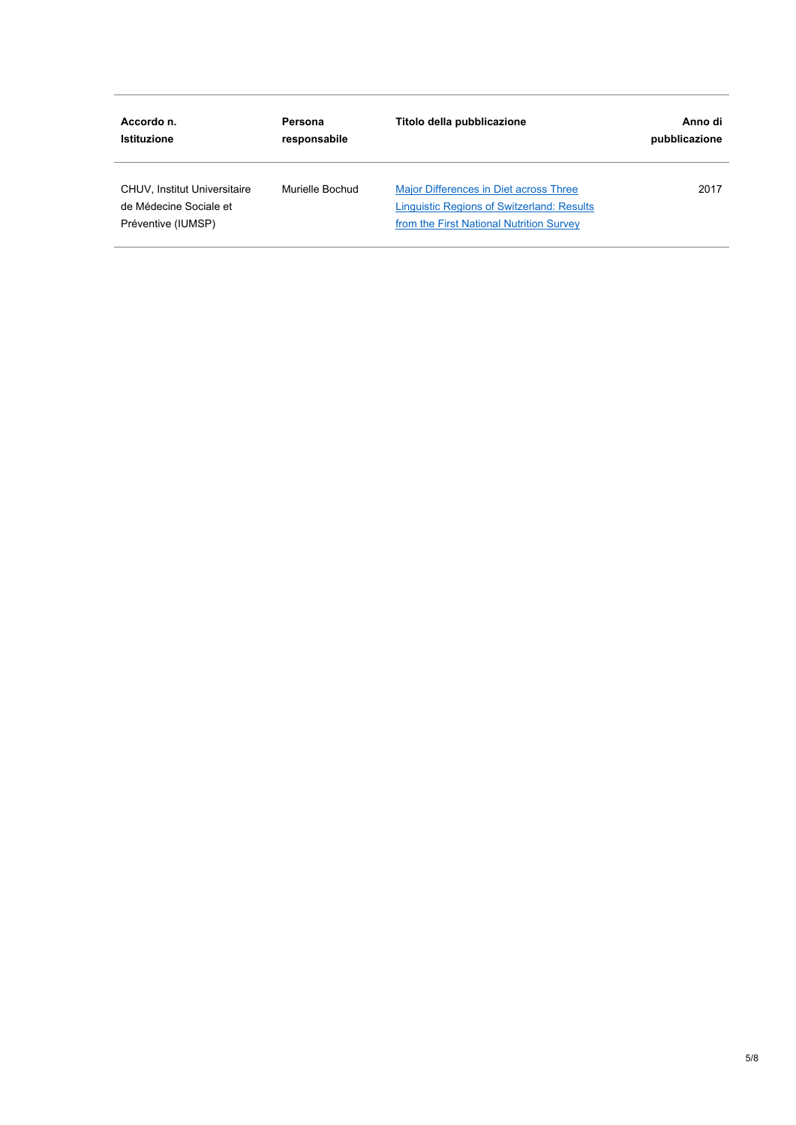| Accordo n.                                                                          | Persona         | Titolo della pubblicazione                                                                                                              | Anno di       |
|-------------------------------------------------------------------------------------|-----------------|-----------------------------------------------------------------------------------------------------------------------------------------|---------------|
| <b>Istituzione</b>                                                                  | responsabile    |                                                                                                                                         | pubblicazione |
| <b>CHUV, Institut Universitaire</b><br>de Médecine Sociale et<br>Préventive (IUMSP) | Murielle Bochud | Major Differences in Diet across Three<br><b>Linguistic Regions of Switzerland: Results</b><br>from the First National Nutrition Survey | 2017          |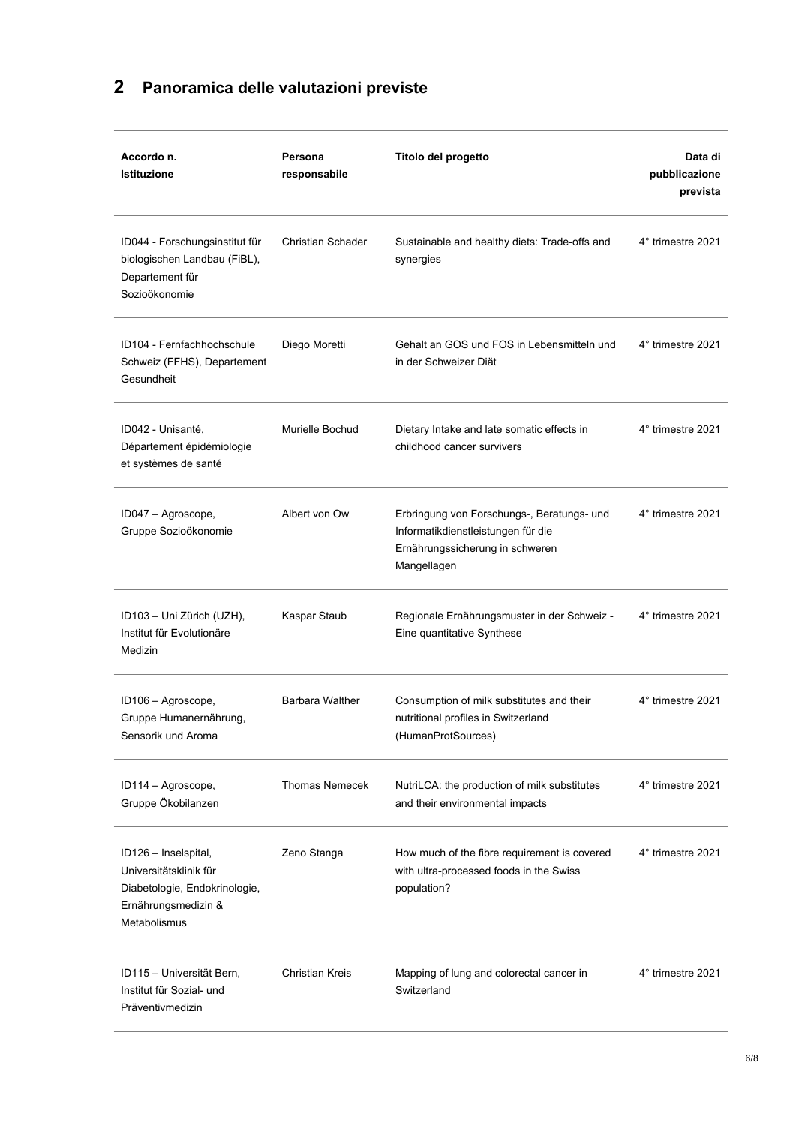## <span id="page-5-0"></span>**2 Panoramica delle valutazioni previste**

| Accordo n.<br><b>Istituzione</b>                                                                                       | Persona<br>responsabile  | Titolo del progetto                                                                                                                | Data di<br>pubblicazione<br>prevista |
|------------------------------------------------------------------------------------------------------------------------|--------------------------|------------------------------------------------------------------------------------------------------------------------------------|--------------------------------------|
| ID044 - Forschungsinstitut für<br>biologischen Landbau (FiBL),<br>Departement für<br>Sozioökonomie                     | <b>Christian Schader</b> | Sustainable and healthy diets: Trade-offs and<br>synergies                                                                         | 4° trimestre 2021                    |
| ID104 - Fernfachhochschule<br>Schweiz (FFHS), Departement<br>Gesundheit                                                | Diego Moretti            | Gehalt an GOS und FOS in Lebensmitteln und<br>in der Schweizer Diät                                                                | 4° trimestre 2021                    |
| ID042 - Unisanté,<br>Département épidémiologie<br>et systèmes de santé                                                 | Murielle Bochud          | Dietary Intake and late somatic effects in<br>childhood cancer survivers                                                           | 4° trimestre 2021                    |
| ID047 - Agroscope,<br>Gruppe Sozioökonomie                                                                             | Albert von Ow            | Erbringung von Forschungs-, Beratungs- und<br>Informatikdienstleistungen für die<br>Ernährungssicherung in schweren<br>Mangellagen | 4° trimestre 2021                    |
| ID103 - Uni Zürich (UZH),<br>Institut für Evolutionäre<br>Medizin                                                      | Kaspar Staub             | Regionale Ernährungsmuster in der Schweiz -<br>Eine quantitative Synthese                                                          | 4° trimestre 2021                    |
| ID106 - Agroscope,<br>Gruppe Humanernährung,<br>Sensorik und Aroma                                                     | <b>Barbara Walther</b>   | Consumption of milk substitutes and their<br>nutritional profiles in Switzerland<br>(HumanProtSources)                             | 4° trimestre 2021                    |
| ID114 - Agroscope,<br>Gruppe Ökobilanzen                                                                               | <b>Thomas Nemecek</b>    | NutriLCA: the production of milk substitutes<br>and their environmental impacts                                                    | 4° trimestre 2021                    |
| ID126 - Inselspital,<br>Universitätsklinik für<br>Diabetologie, Endokrinologie,<br>Ernährungsmedizin &<br>Metabolismus | Zeno Stanga              | How much of the fibre requirement is covered<br>with ultra-processed foods in the Swiss<br>population?                             | 4° trimestre 2021                    |
| ID115 - Universität Bern,<br>Institut für Sozial- und<br>Präventivmedizin                                              | <b>Christian Kreis</b>   | Mapping of lung and colorectal cancer in<br>Switzerland                                                                            | 4° trimestre 2021                    |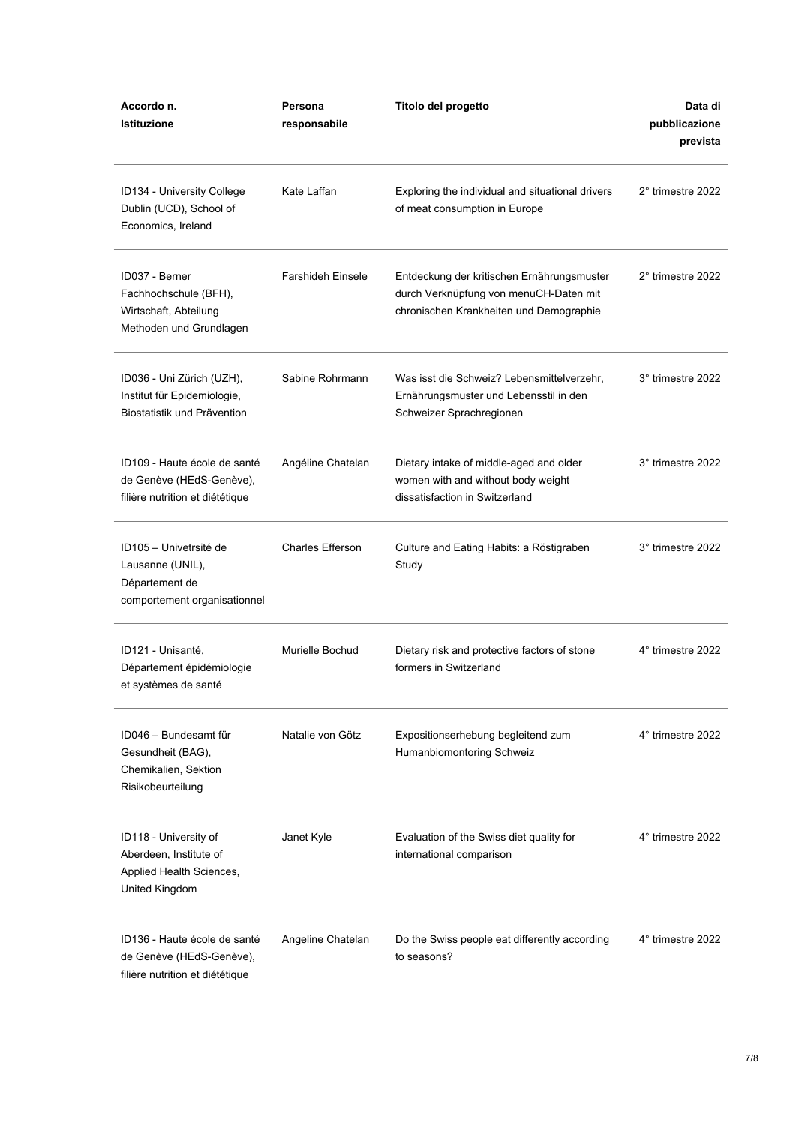| Accordo n.<br>Istituzione                                                                     | Persona<br>responsabile  | Titolo del progetto                                                                                                             | Data di<br>pubblicazione<br>prevista |
|-----------------------------------------------------------------------------------------------|--------------------------|---------------------------------------------------------------------------------------------------------------------------------|--------------------------------------|
| ID134 - University College<br>Dublin (UCD), School of<br>Economics, Ireland                   | Kate Laffan              | Exploring the individual and situational drivers<br>of meat consumption in Europe                                               | 2° trimestre 2022                    |
| ID037 - Berner<br>Fachhochschule (BFH),<br>Wirtschaft, Abteilung<br>Methoden und Grundlagen   | <b>Farshideh Einsele</b> | Entdeckung der kritischen Ernährungsmuster<br>durch Verknüpfung von menuCH-Daten mit<br>chronischen Krankheiten und Demographie | 2° trimestre 2022                    |
| ID036 - Uni Zürich (UZH),<br>Institut für Epidemiologie,<br>Biostatistik und Prävention       | Sabine Rohrmann          | Was isst die Schweiz? Lebensmittelverzehr,<br>Ernährungsmuster und Lebensstil in den<br>Schweizer Sprachregionen                | 3° trimestre 2022                    |
| ID109 - Haute école de santé<br>de Genève (HEdS-Genève),<br>filière nutrition et diététique   | Angéline Chatelan        | Dietary intake of middle-aged and older<br>women with and without body weight<br>dissatisfaction in Switzerland                 | 3° trimestre 2022                    |
| ID105 – Univetrsité de<br>Lausanne (UNIL),<br>Département de<br>comportement organisationnel  | <b>Charles Efferson</b>  | Culture and Eating Habits: a Röstigraben<br>Study                                                                               | 3° trimestre 2022                    |
| ID121 - Unisanté,<br>Département épidémiologie<br>et systèmes de santé                        | Murielle Bochud          | Dietary risk and protective factors of stone<br>formers in Switzerland                                                          | 4° trimestre 2022                    |
| ID046 - Bundesamt für<br>Gesundheit (BAG),<br>Chemikalien, Sektion<br>Risikobeurteilung       | Natalie von Götz         | Expositionserhebung begleitend zum<br>Humanbiomontoring Schweiz                                                                 | 4° trimestre 2022                    |
| ID118 - University of<br>Aberdeen, Institute of<br>Applied Health Sciences,<br>United Kingdom | Janet Kyle               | Evaluation of the Swiss diet quality for<br>international comparison                                                            | 4° trimestre 2022                    |
| ID136 - Haute école de santé<br>de Genève (HEdS-Genève),<br>filière nutrition et diététique   | Angeline Chatelan        | Do the Swiss people eat differently according<br>to seasons?                                                                    | 4° trimestre 2022                    |